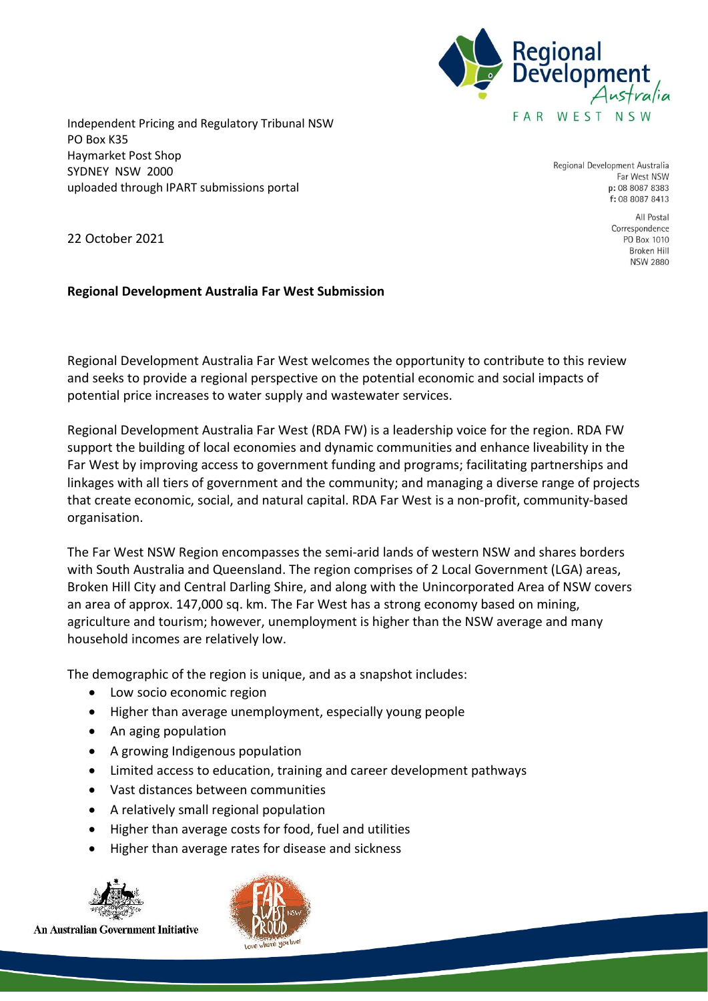

Independent Pricing and Regulatory Tribunal NSW PO Box K35 Haymarket Post Shop SYDNEY NSW 2000 uploaded through IPART submissions portal

Regional Development Australia Far West NSW p: 08 8087 8383 f: 08 8087 8413

> All Postal Correspondence PO Box 1010 Broken Hill **NSW 2880**

22 October 2021

#### **Regional Development Australia Far West Submission**

Regional Development Australia Far West welcomes the opportunity to contribute to this review and seeks to provide a regional perspective on the potential economic and social impacts of potential price increases to water supply and wastewater services.

Regional Development Australia Far West (RDA FW) is a leadership voice for the region. RDA FW support the building of local economies and dynamic communities and enhance liveability in the Far West by improving access to government funding and programs; facilitating partnerships and linkages with all tiers of government and the community; and managing a diverse range of projects that create economic, social, and natural capital. RDA Far West is a non-profit, community-based organisation.

The Far West NSW Region encompasses the semi-arid lands of western NSW and shares borders with South Australia and Queensland. The region comprises of 2 Local Government (LGA) areas, Broken Hill City and Central Darling Shire, and along with the Unincorporated Area of NSW covers an area of approx. 147,000 sq. km. The Far West has a strong economy based on mining, agriculture and tourism; however, unemployment is higher than the NSW average and many household incomes are relatively low.

The demographic of the region is unique, and as a snapshot includes:

- Low socio economic region
- Higher than average unemployment, especially young people
- An aging population
- A growing Indigenous population
- Limited access to education, training and career development pathways
- Vast distances between communities
- A relatively small regional population
- Higher than average costs for food, fuel and utilities
- Higher than average rates for disease and sickness





An Australian Government Initiative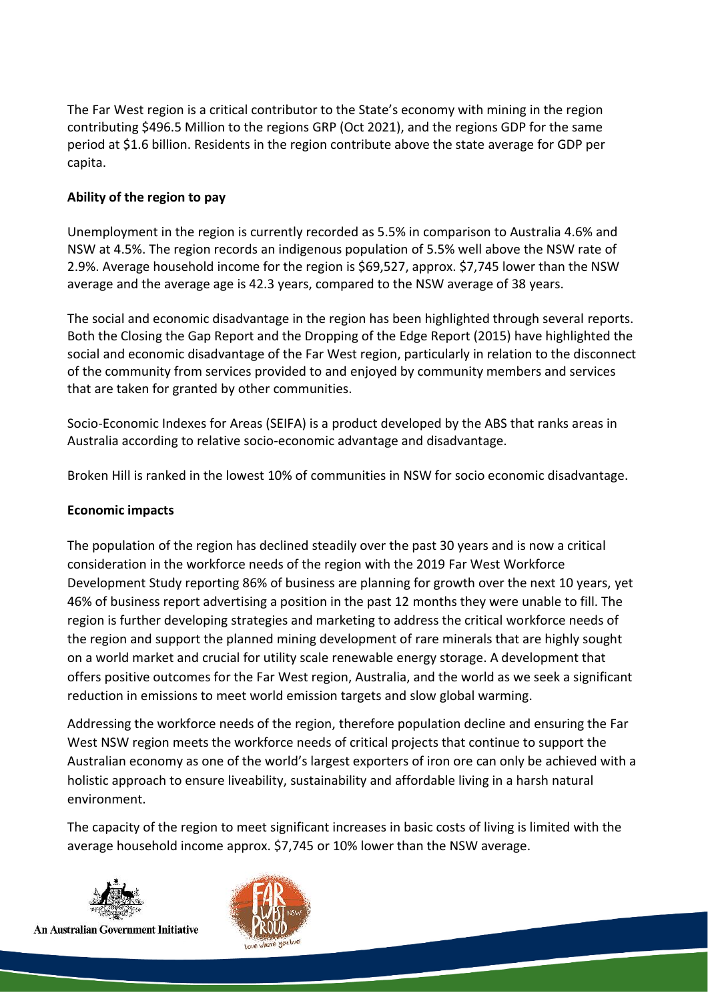The Far West region is a critical contributor to the State's economy with mining in the region contributing \$496.5 Million to the regions GRP (Oct 2021), and the regions GDP for the same period at \$1.6 billion. Residents in the region contribute above the state average for GDP per capita.

# **Ability of the region to pay**

Unemployment in the region is currently recorded as 5.5% in comparison to Australia 4.6% and NSW at 4.5%. The region records an indigenous population of 5.5% well above the NSW rate of 2.9%. Average household income for the region is \$69,527, approx. \$7,745 lower than the NSW average and the average age is 42.3 years, compared to the NSW average of 38 years.

The social and economic disadvantage in the region has been highlighted through several reports. Both the Closing the Gap Report and the Dropping of the Edge Report (2015) have highlighted the social and economic disadvantage of the Far West region, particularly in relation to the disconnect of the community from services provided to and enjoyed by community members and services that are taken for granted by other communities.

Socio-Economic Indexes for Areas (SEIFA) is a product developed by the ABS that ranks areas in Australia according to relative socio-economic advantage and disadvantage.

Broken Hill is ranked in the lowest 10% of communities in NSW for socio economic disadvantage.

# **Economic impacts**

The population of the region has declined steadily over the past 30 years and is now a critical consideration in the workforce needs of the region with the 2019 Far West Workforce Development Study reporting 86% of business are planning for growth over the next 10 years, yet 46% of business report advertising a position in the past 12 months they were unable to fill. The region is further developing strategies and marketing to address the critical workforce needs of the region and support the planned mining development of rare minerals that are highly sought on a world market and crucial for utility scale renewable energy storage. A development that offers positive outcomes for the Far West region, Australia, and the world as we seek a significant reduction in emissions to meet world emission targets and slow global warming.

Addressing the workforce needs of the region, therefore population decline and ensuring the Far West NSW region meets the workforce needs of critical projects that continue to support the Australian economy as one of the world's largest exporters of iron ore can only be achieved with a holistic approach to ensure liveability, sustainability and affordable living in a harsh natural environment.

The capacity of the region to meet significant increases in basic costs of living is limited with the average household income approx. \$7,745 or 10% lower than the NSW average.



An Australian Government Initiative

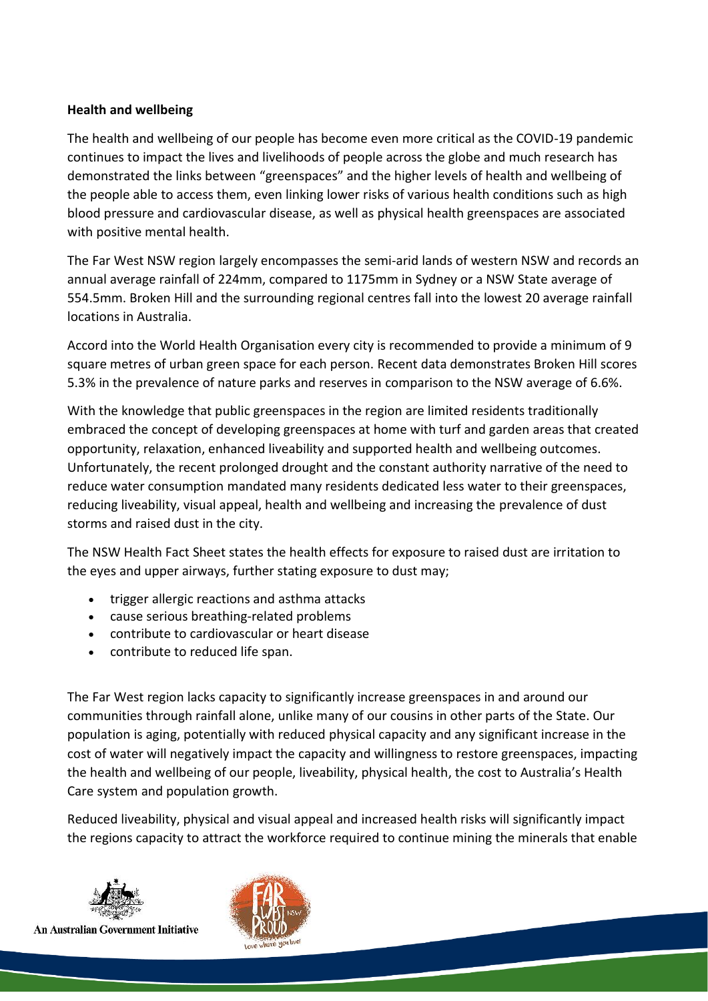# **Health and wellbeing**

The health and wellbeing of our people has become even more critical as the COVID-19 pandemic continues to impact the lives and livelihoods of people across the globe and much research has demonstrated the links between "greenspaces" and the higher levels of health and wellbeing of the people able to access them, even linking lower risks of various health conditions such as high blood pressure and cardiovascular disease, as well as physical health greenspaces are associated with positive mental health.

The Far West NSW region largely encompasses the semi-arid lands of western NSW and records an annual average rainfall of 224mm, compared to 1175mm in Sydney or a NSW State average of 554.5mm. Broken Hill and the surrounding regional centres fall into the lowest 20 average rainfall locations in Australia.

Accord into the World Health Organisation every city is recommended to provide a minimum of 9 square metres of urban green space for each person. Recent data demonstrates Broken Hill scores 5.3% in the prevalence of nature parks and reserves in comparison to the NSW average of 6.6%.

With the knowledge that public greenspaces in the region are limited residents traditionally embraced the concept of developing greenspaces at home with turf and garden areas that created opportunity, relaxation, enhanced liveability and supported health and wellbeing outcomes. Unfortunately, the recent prolonged drought and the constant authority narrative of the need to reduce water consumption mandated many residents dedicated less water to their greenspaces, reducing liveability, visual appeal, health and wellbeing and increasing the prevalence of dust storms and raised dust in the city.

The NSW Health Fact Sheet states the health effects for exposure to raised dust are irritation to the eyes and upper airways, further stating exposure to dust may;

- trigger allergic reactions and asthma attacks
- cause serious breathing-related problems
- contribute to cardiovascular or heart disease
- contribute to reduced life span.

The Far West region lacks capacity to significantly increase greenspaces in and around our communities through rainfall alone, unlike many of our cousins in other parts of the State. Our population is aging, potentially with reduced physical capacity and any significant increase in the cost of water will negatively impact the capacity and willingness to restore greenspaces, impacting the health and wellbeing of our people, liveability, physical health, the cost to Australia's Health Care system and population growth.

Reduced liveability, physical and visual appeal and increased health risks will significantly impact the regions capacity to attract the workforce required to continue mining the minerals that enable



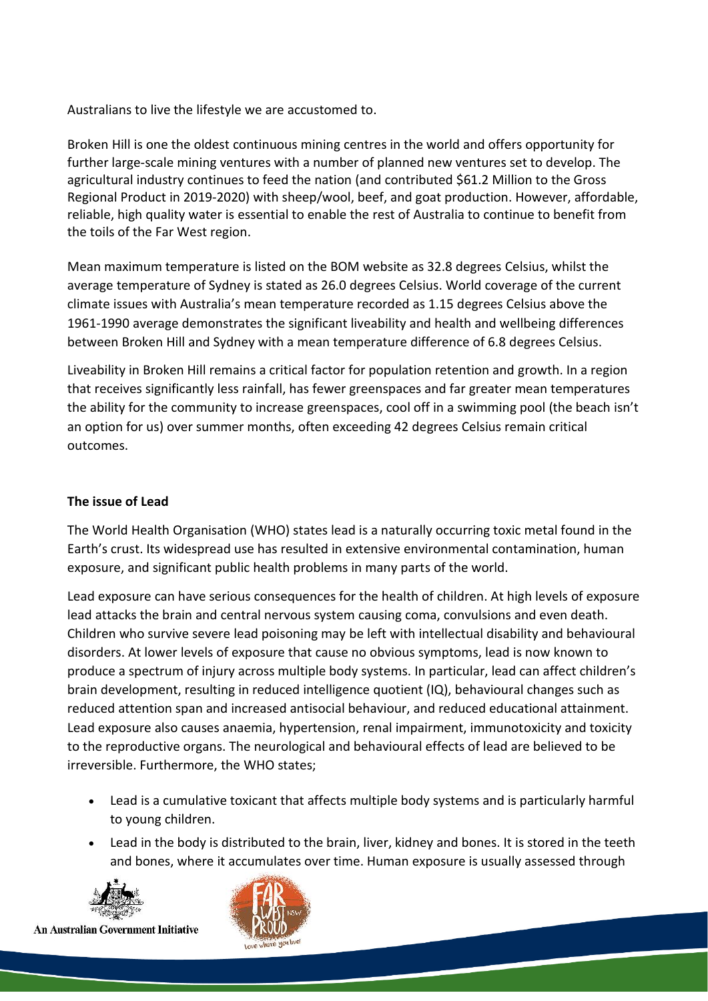Australians to live the lifestyle we are accustomed to.

Broken Hill is one the oldest continuous mining centres in the world and offers opportunity for further large-scale mining ventures with a number of planned new ventures set to develop. The agricultural industry continues to feed the nation (and contributed \$61.2 Million to the Gross Regional Product in 2019-2020) with sheep/wool, beef, and goat production. However, affordable, reliable, high quality water is essential to enable the rest of Australia to continue to benefit from the toils of the Far West region.

Mean maximum temperature is listed on the BOM website as 32.8 degrees Celsius, whilst the average temperature of Sydney is stated as 26.0 degrees Celsius. World coverage of the current climate issues with Australia's mean temperature recorded as 1.15 degrees Celsius above the 1961-1990 average demonstrates the significant liveability and health and wellbeing differences between Broken Hill and Sydney with a mean temperature difference of 6.8 degrees Celsius.

Liveability in Broken Hill remains a critical factor for population retention and growth. In a region that receives significantly less rainfall, has fewer greenspaces and far greater mean temperatures the ability for the community to increase greenspaces, cool off in a swimming pool (the beach isn't an option for us) over summer months, often exceeding 42 degrees Celsius remain critical outcomes.

# **The issue of Lead**

The World Health Organisation (WHO) states lead is a naturally occurring toxic metal found in the Earth's crust. Its widespread use has resulted in extensive environmental contamination, human exposure, and significant public health problems in many parts of the world.

Lead exposure can have serious consequences for the health of children. At high levels of exposure lead attacks the brain and central nervous system causing coma, convulsions and even death. Children who survive severe lead poisoning may be left with intellectual disability and behavioural disorders. At lower levels of exposure that cause no obvious symptoms, lead is now known to produce a spectrum of injury across multiple body systems. In particular, lead can affect children's brain development, resulting in reduced intelligence quotient (IQ), behavioural changes such as reduced attention span and increased antisocial behaviour, and reduced educational attainment. Lead exposure also causes anaemia, hypertension, renal impairment, immunotoxicity and toxicity to the reproductive organs. The neurological and behavioural effects of lead are believed to be irreversible. Furthermore, the WHO states;

- Lead is a cumulative toxicant that affects multiple body systems and is particularly harmful to young children.
- Lead in the body is distributed to the brain, liver, kidney and bones. It is stored in the teeth and bones, where it accumulates over time. Human exposure is usually assessed through



An Australian Government Initiative

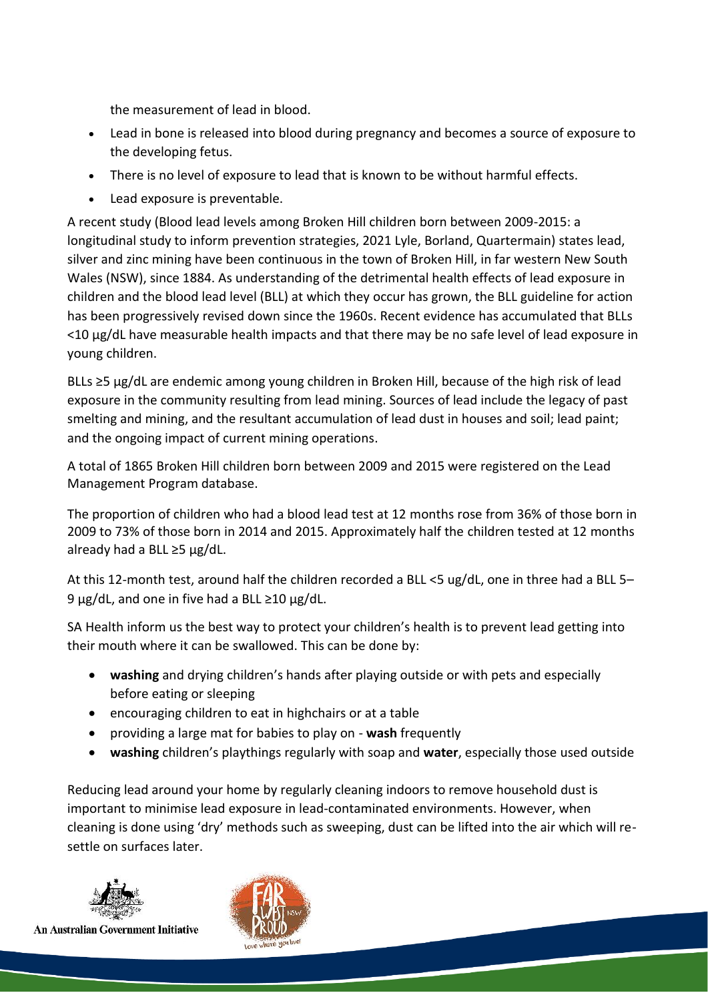the measurement of lead in blood.

- Lead in bone is released into blood during pregnancy and becomes a source of exposure to the developing fetus.
- There is no level of exposure to lead that is known to be without harmful effects.
- Lead exposure is preventable.

A recent study (Blood lead levels among Broken Hill children born between 2009-2015: a longitudinal study to inform prevention strategies, 2021 Lyle, Borland, Quartermain) states lead, silver and zinc mining have been continuous in the town of Broken Hill, in far western New South Wales (NSW), since 1884. As understanding of the detrimental health effects of lead exposure in children and the blood lead level (BLL) at which they occur has grown, the BLL guideline for action has been progressively revised down since the 1960s. Recent evidence has accumulated that BLLs <10 µg/dL have measurable health impacts and that there may be no safe level of lead exposure in young children.

BLLs ≥5 µg/dL are endemic among young children in Broken Hill, because of the high risk of lead exposure in the community resulting from lead mining. Sources of lead include the legacy of past smelting and mining, and the resultant accumulation of lead dust in houses and soil; lead paint; and the ongoing impact of current mining operations.

A total of 1865 Broken Hill children born between 2009 and 2015 were registered on the Lead Management Program database.

The proportion of children who had a blood lead test at 12 months rose from 36% of those born in 2009 to 73% of those born in 2014 and 2015. Approximately half the children tested at 12 months already had a BLL  $\geq$ 5 µg/dL.

At this 12-month test, around half the children recorded a BLL <5 ug/dL, one in three had a BLL 5– 9  $\mu$ g/dL, and one in five had a BLL ≥10  $\mu$ g/dL.

SA Health inform us the best way to protect your children's health is to prevent lead getting into their mouth where it can be swallowed. This can be done by:

- **washing** and drying children's hands after playing outside or with pets and especially before eating or sleeping
- encouraging children to eat in highchairs or at a table
- providing a large mat for babies to play on **wash** frequently
- **washing** children's playthings regularly with soap and **water**, especially those used outside

Reducing lead around your home by regularly cleaning indoors to remove household dust is important to minimise lead exposure in lead-contaminated environments. However, when cleaning is done using 'dry' methods such as sweeping, dust can be lifted into the air which will resettle on surfaces later.



An Australian Government Initiative

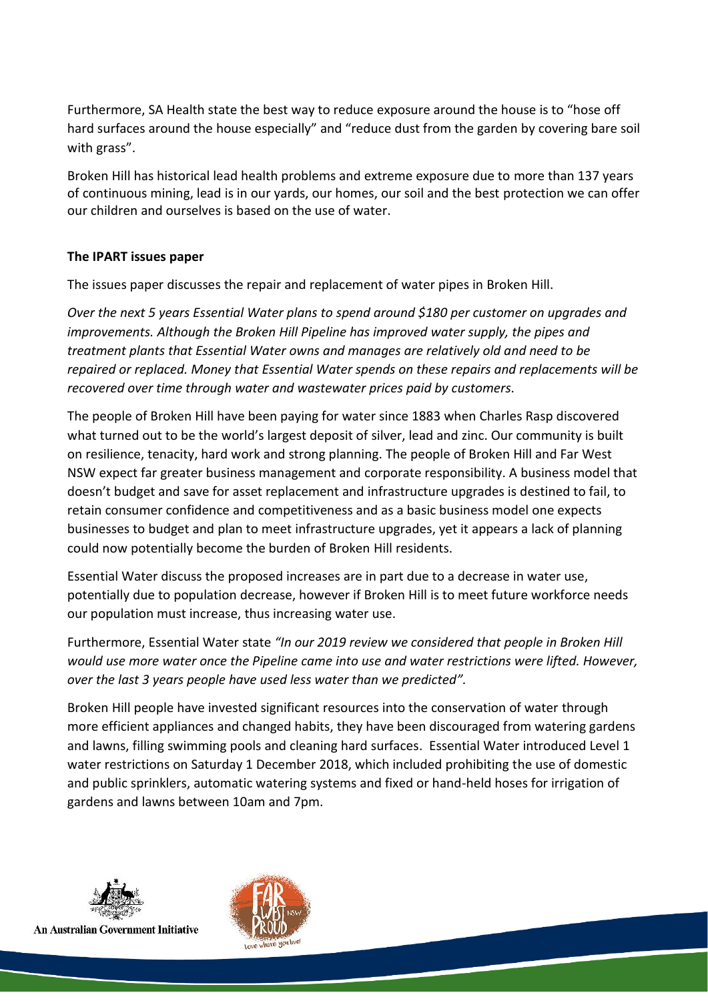Furthermore, SA Health state the best way to reduce exposure around the house is to "hose off hard surfaces around the house especially" and "reduce dust from the garden by covering bare soil with grass".

Broken Hill has historical lead health problems and extreme exposure due to more than 137 years of continuous mining, lead is in our yards, our homes, our soil and the best protection we can offer our children and ourselves is based on the use of water.

# **The IPART issues paper**

The issues paper discusses the repair and replacement of water pipes in Broken Hill.

*Over the next 5 years Essential Water plans to spend around \$180 per customer on upgrades and improvements. Although the Broken Hill Pipeline has improved water supply, the pipes and treatment plants that Essential Water owns and manages are relatively old and need to be repaired or replaced. Money that Essential Water spends on these repairs and replacements will be recovered over time through water and wastewater prices paid by customers.*

The people of Broken Hill have been paying for water since 1883 when Charles Rasp discovered what turned out to be the world's largest deposit of silver, lead and zinc. Our community is built on resilience, tenacity, hard work and strong planning. The people of Broken Hill and Far West NSW expect far greater business management and corporate responsibility. A business model that doesn't budget and save for asset replacement and infrastructure upgrades is destined to fail, to retain consumer confidence and competitiveness and as a basic business model one expects businesses to budget and plan to meet infrastructure upgrades, yet it appears a lack of planning could now potentially become the burden of Broken Hill residents.

Essential Water discuss the proposed increases are in part due to a decrease in water use, potentially due to population decrease, however if Broken Hill is to meet future workforce needs our population must increase, thus increasing water use.

Furthermore, Essential Water state *"In our 2019 review we considered that people in Broken Hill would use more water once the Pipeline came into use and water restrictions were lifted. However, over the last 3 years people have used less water than we predicted".* 

Broken Hill people have invested significant resources into the conservation of water through more efficient appliances and changed habits, they have been discouraged from watering gardens and lawns, filling swimming pools and cleaning hard surfaces. Essential Water introduced Level 1 water restrictions on Saturday 1 December 2018, which included prohibiting the use of domestic and public sprinklers, automatic watering systems and fixed or hand-held hoses for irrigation of gardens and lawns between 10am and 7pm.



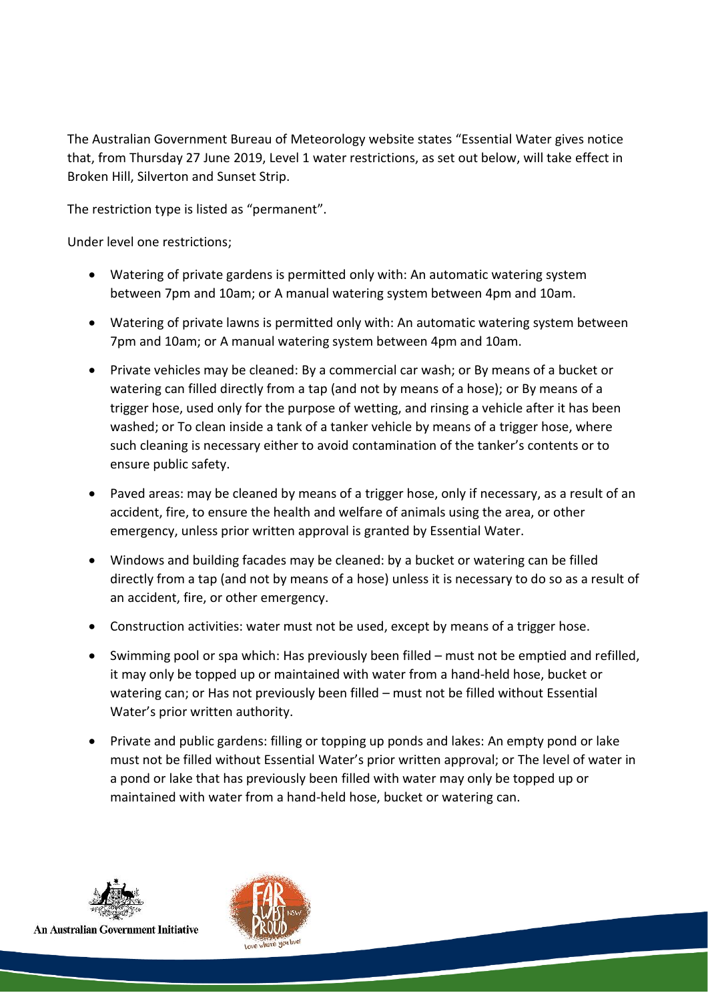The Australian Government Bureau of Meteorology website states "Essential Water gives notice that, from Thursday 27 June 2019, Level 1 water restrictions, as set out below, will take effect in Broken Hill, Silverton and Sunset Strip.

The restriction type is listed as "permanent".

Under level one restrictions;

- Watering of private gardens is permitted only with: An automatic watering system between 7pm and 10am; or A manual watering system between 4pm and 10am.
- Watering of private lawns is permitted only with: An automatic watering system between 7pm and 10am; or A manual watering system between 4pm and 10am.
- Private vehicles may be cleaned: By a commercial car wash; or By means of a bucket or watering can filled directly from a tap (and not by means of a hose); or By means of a trigger hose, used only for the purpose of wetting, and rinsing a vehicle after it has been washed; or To clean inside a tank of a tanker vehicle by means of a trigger hose, where such cleaning is necessary either to avoid contamination of the tanker's contents or to ensure public safety.
- Paved areas: may be cleaned by means of a trigger hose, only if necessary, as a result of an accident, fire, to ensure the health and welfare of animals using the area, or other emergency, unless prior written approval is granted by Essential Water.
- Windows and building facades may be cleaned: by a bucket or watering can be filled directly from a tap (and not by means of a hose) unless it is necessary to do so as a result of an accident, fire, or other emergency.
- Construction activities: water must not be used, except by means of a trigger hose.
- Swimming pool or spa which: Has previously been filled must not be emptied and refilled, it may only be topped up or maintained with water from a hand-held hose, bucket or watering can; or Has not previously been filled – must not be filled without Essential Water's prior written authority.
- Private and public gardens: filling or topping up ponds and lakes: An empty pond or lake must not be filled without Essential Water's prior written approval; or The level of water in a pond or lake that has previously been filled with water may only be topped up or maintained with water from a hand-held hose, bucket or watering can.



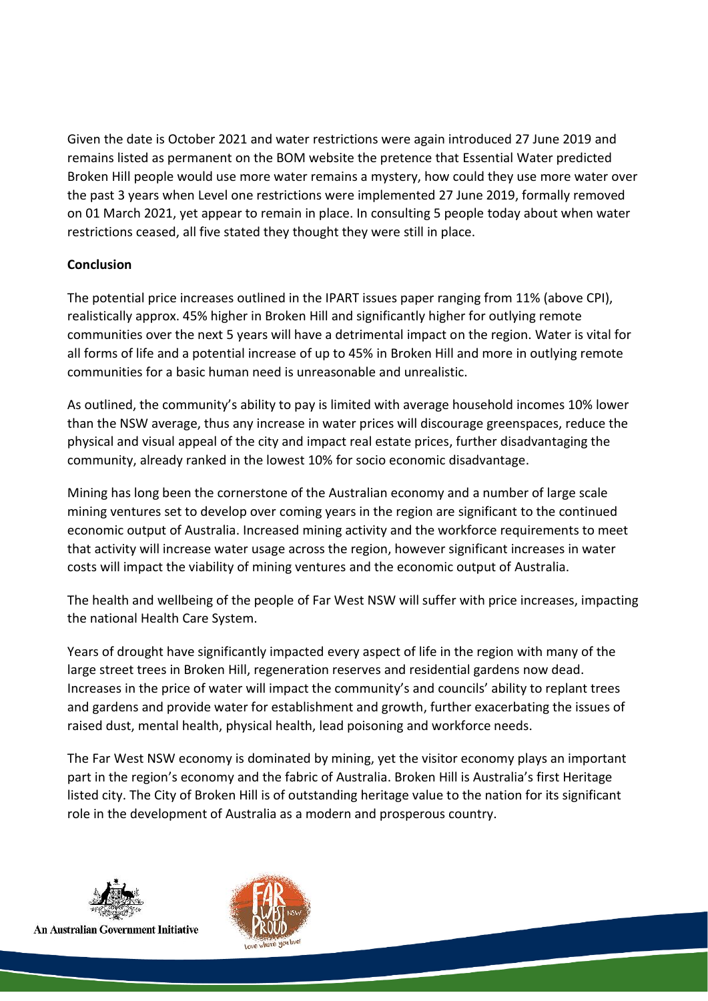Given the date is October 2021 and water restrictions were again introduced 27 June 2019 and remains listed as permanent on the BOM website the pretence that Essential Water predicted Broken Hill people would use more water remains a mystery, how could they use more water over the past 3 years when Level one restrictions were implemented 27 June 2019, formally removed on 01 March 2021, yet appear to remain in place. In consulting 5 people today about when water restrictions ceased, all five stated they thought they were still in place.

# **Conclusion**

The potential price increases outlined in the IPART issues paper ranging from 11% (above CPI), realistically approx. 45% higher in Broken Hill and significantly higher for outlying remote communities over the next 5 years will have a detrimental impact on the region. Water is vital for all forms of life and a potential increase of up to 45% in Broken Hill and more in outlying remote communities for a basic human need is unreasonable and unrealistic.

As outlined, the community's ability to pay is limited with average household incomes 10% lower than the NSW average, thus any increase in water prices will discourage greenspaces, reduce the physical and visual appeal of the city and impact real estate prices, further disadvantaging the community, already ranked in the lowest 10% for socio economic disadvantage.

Mining has long been the cornerstone of the Australian economy and a number of large scale mining ventures set to develop over coming years in the region are significant to the continued economic output of Australia. Increased mining activity and the workforce requirements to meet that activity will increase water usage across the region, however significant increases in water costs will impact the viability of mining ventures and the economic output of Australia.

The health and wellbeing of the people of Far West NSW will suffer with price increases, impacting the national Health Care System.

Years of drought have significantly impacted every aspect of life in the region with many of the large street trees in Broken Hill, regeneration reserves and residential gardens now dead. Increases in the price of water will impact the community's and councils' ability to replant trees and gardens and provide water for establishment and growth, further exacerbating the issues of raised dust, mental health, physical health, lead poisoning and workforce needs.

The Far West NSW economy is dominated by mining, yet the visitor economy plays an important part in the region's economy and the fabric of Australia. Broken Hill is Australia's first Heritage listed city. The City of Broken Hill is of outstanding heritage value to the nation for its significant role in the development of Australia as a modern and prosperous country.